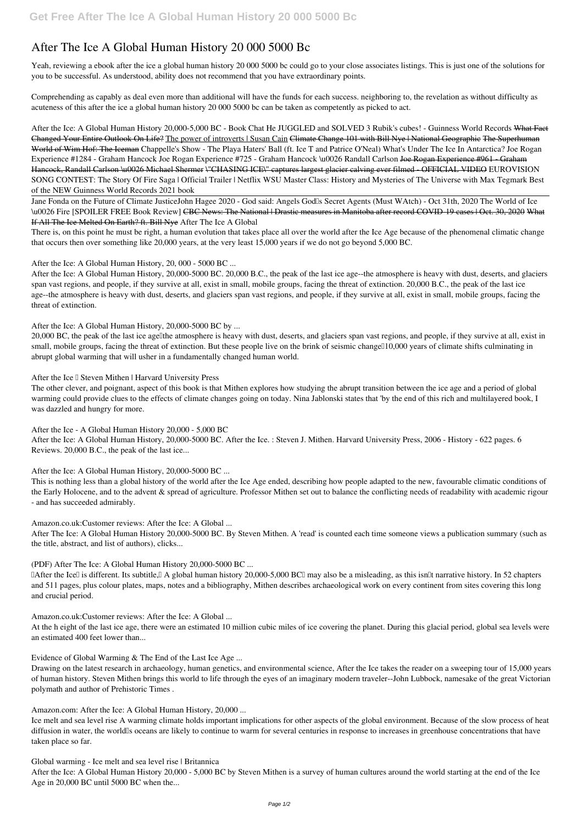## **After The Ice A Global Human History 20 000 5000 Bc**

Yeah, reviewing a ebook **after the ice a global human history 20 000 5000 bc** could go to your close associates listings. This is just one of the solutions for you to be successful. As understood, ability does not recommend that you have extraordinary points.

Comprehending as capably as deal even more than additional will have the funds for each success. neighboring to, the revelation as without difficulty as acuteness of this after the ice a global human history 20 000 5000 bc can be taken as competently as picked to act.

After the Ice: A Global Human History 20,000-5,000 BC - Book Chat He JUGGLED and SOLVED 3 Rubik's cubes! - Guinness World Records What Fact Changed Your Entire Outlook On Life? The power of introverts | Susan Cain Climate Change 101 with Bill Nye | National Geographic The Superhuman World of Wim Hof: The Iceman Chappelle's Show - The Playa Haters' Ball (ft. Ice T and Patrice O'Neal) *What's Under The Ice In Antarctica? Joe Rogan Experience #1284 - Graham Hancock Joe Rogan Experience #725 - Graham Hancock \u0026 Randall Carlson* Joe Rogan Experience #961 - Graham Hancock, Randall Carlson \u0026 Michael Shermer \"CHASING ICE\" captures largest glacier calving ever filmed - OFFICIAL VIDEO EUROVISION SONG CONTEST: The Story Of Fire Saga | Official Trailer | Netflix *WSU Master Class: History and Mysteries of The Universe with Max Tegmark* **Best of the NEW Guinness World Records 2021 book**

20,000 BC, the peak of the last ice agellthe atmosphere is heavy with dust, deserts, and glaciers span vast regions, and people, if they survive at all, exist in small, mobile groups, facing the threat of extinction. But these people live on the brink of seismic change 10,000 years of climate shifts culminating in abrupt global warming that will usher in a fundamentally changed human world.

After the Ice <sup>I</sup> Steven Mithen | Harvard University Press

Jane Fonda on the Future of Climate Justice*John Hagee 2020 - God said: Angels God's Secret Agents (Must WAtch) - Oct 31th, 2020* The World of Ice \u0026 Fire [SPOILER FREE Book Review] CBC News: The National | Drastic measures in Manitoba after record COVID-19 cases | Oct. 30, 2020 What If All The Ice Melted On Earth? ft. Bill Nye *After The Ice A Global*

There is, on this point he must be right, a human evolution that takes place all over the world after the Ice Age because of the phenomenal climatic change that occurs then over something like 20,000 years, at the very least 15,000 years if we do not go beyond 5,000 BC.

*After the Ice: A Global Human History, 20, 000 - 5000 BC ...*

TAfter the IceT is different. Its subtitle, A global human history 20,000-5,000 BCT may also be a misleading, as this isn<sup>'It</sup> narrative history. In 52 chapters and 511 pages, plus colour plates, maps, notes and a bibliography, Mithen describes archaeological work on every continent from sites covering this long and crucial period.

After the Ice: A Global Human History, 20,000-5000 BC. 20,000 B.C., the peak of the last ice age--the atmosphere is heavy with dust, deserts, and glaciers span vast regions, and people, if they survive at all, exist in small, mobile groups, facing the threat of extinction. 20,000 B.C., the peak of the last ice age--the atmosphere is heavy with dust, deserts, and glaciers span vast regions, and people, if they survive at all, exist in small, mobile groups, facing the threat of extinction.

*After the Ice: A Global Human History, 20,000-5000 BC by ...*

Drawing on the latest research in archaeology, human genetics, and environmental science, After the Ice takes the reader on a sweeping tour of 15,000 years of human history. Steven Mithen brings this world to life through the eyes of an imaginary modern traveler--John Lubbock, namesake of the great Victorian polymath and author of Prehistoric Times .

The other clever, and poignant, aspect of this book is that Mithen explores how studying the abrupt transition between the ice age and a period of global warming could provide clues to the effects of climate changes going on today. Nina Jablonski states that 'by the end of this rich and multilayered book, I was dazzled and hungry for more.

*After the Ice - A Global Human History 20,000 - 5,000 BC*

After the Ice: A Global Human History, 20,000-5000 BC. After the Ice. : Steven J. Mithen. Harvard University Press, 2006 - History - 622 pages. 6 Reviews. 20,000 B.C., the peak of the last ice...

*After the Ice: A Global Human History, 20,000-5000 BC ...*

This is nothing less than a global history of the world after the Ice Age ended, describing how people adapted to the new, favourable climatic conditions of the Early Holocene, and to the advent & spread of agriculture. Professor Mithen set out to balance the conflicting needs of readability with academic rigour - and has succeeded admirably.

*Amazon.co.uk:Customer reviews: After the Ice: A Global ...*

After The Ice: A Global Human History 20,000-5000 BC. By Steven Mithen. A 'read' is counted each time someone views a publication summary (such as the title, abstract, and list of authors), clicks...

*(PDF) After The Ice: A Global Human History 20,000-5000 BC ...*

*Amazon.co.uk:Customer reviews: After the Ice: A Global ...*

At the h eight of the last ice age, there were an estimated 10 million cubic miles of ice covering the planet. During this glacial period, global sea levels were an estimated 400 feet lower than...

*Evidence of Global Warming & The End of the Last Ice Age ...*

*Amazon.com: After the Ice: A Global Human History, 20,000 ...*

Ice melt and sea level rise A warming climate holds important implications for other aspects of the global environment. Because of the slow process of heat diffusion in water, the world<sup>'s</sup> oceans are likely to continue to warm for several centuries in response to increases in greenhouse concentrations that have taken place so far.

*Global warming - Ice melt and sea level rise | Britannica*

After the Ice: A Global Human History 20,000 - 5,000 BC by Steven Mithen is a survey of human cultures around the world starting at the end of the Ice Age in 20,000 BC until 5000 BC when the...